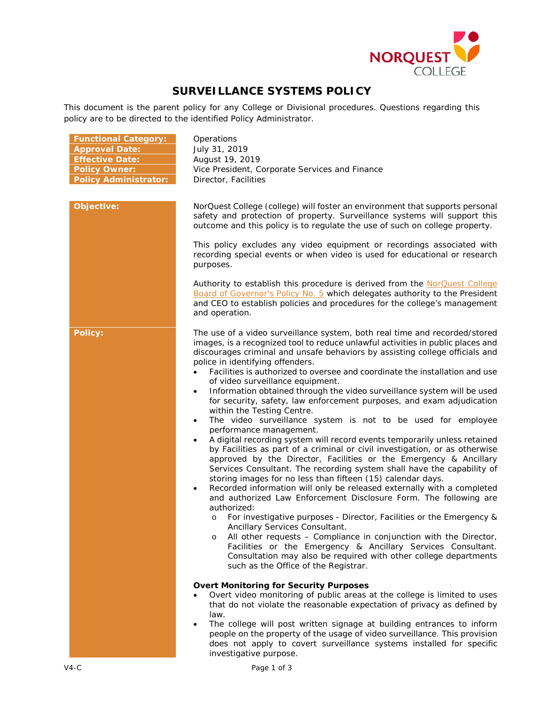

# **SURVEILLANCE SYSTEMS POLICY**

This document is the parent policy for any College or Divisional procedures. Questions regarding this policy are to be directed to the identified Policy Administrator.

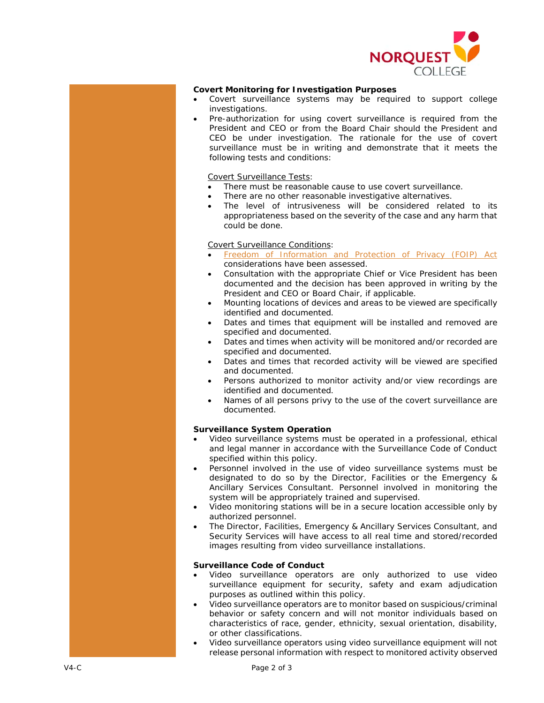

## **Covert Monitoring for Investigation Purposes**

- Covert surveillance systems may be required to support college investigations.
- Pre-authorization for using covert surveillance is required from the President and CEO or from the Board Chair should the President and CEO be under investigation. The rationale for the use of covert surveillance must be in writing and demonstrate that it meets the following tests and conditions:

## Covert Surveillance Tests:

- There must be reasonable cause to use covert surveillance.
- There are no other reasonable investigative alternatives.
- The level of intrusiveness will be considered related to its appropriateness based on the severity of the case and any harm that could be done.

# Covert Surveillance Conditions:

- *[Freedom of Information and Protection of Privacy](http://www.qp.alberta.ca/documents/Acts/F25.pdf)* (FOIP) *Act* considerations have been assessed.
- Consultation with the appropriate Chief or Vice President has been documented and the decision has been approved in writing by the President and CEO or Board Chair, if applicable.
- Mounting locations of devices and areas to be viewed are specifically identified and documented.
- Dates and times that equipment will be installed and removed are specified and documented.
- Dates and times when activity will be monitored and/or recorded are specified and documented.
- Dates and times that recorded activity will be viewed are specified and documented.
- Persons authorized to monitor activity and/or view recordings are identified and documented.
- Names of all persons privy to the use of the covert surveillance are documented.

# **Surveillance System Operation**

- Video surveillance systems must be operated in a professional, ethical and legal manner in accordance with the Surveillance Code of Conduct specified within this policy.
- Personnel involved in the use of video surveillance systems must be designated to do so by the Director, Facilities or the Emergency & Ancillary Services Consultant. Personnel involved in monitoring the system will be appropriately trained and supervised.
- Video monitoring stations will be in a secure location accessible only by authorized personnel.
- The Director, Facilities, Emergency & Ancillary Services Consultant, and Security Services will have access to all real time and stored/recorded images resulting from video surveillance installations.

### **Surveillance Code of Conduct**

- Video surveillance operators are only authorized to use video surveillance equipment for security, safety and exam adjudication purposes as outlined within this policy.
- Video surveillance operators are to monitor based on suspicious/criminal behavior or safety concern and will not monitor individuals based on characteristics of race, gender, ethnicity, sexual orientation, disability, or other classifications.
- Video surveillance operators using video surveillance equipment will not release personal information with respect to monitored activity observed